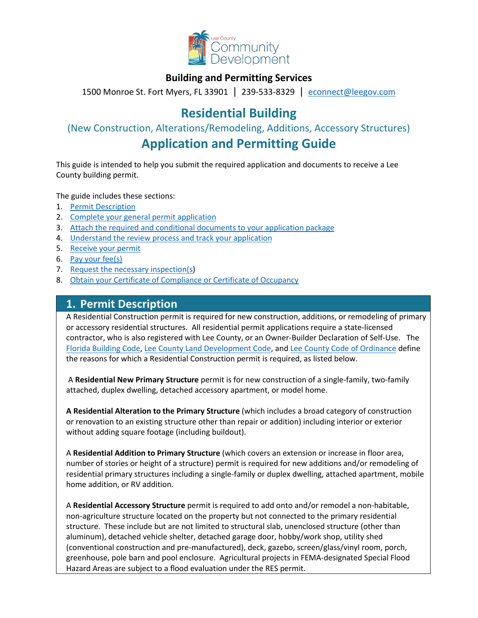

## **Building and Permitting Services**

1500 Monroe St. Fort Myers, FL 33901 | 239-533-8329 |[econnect@leegov.com](mailto:econnect@leegov.com)

# **Residential Building**

(New Construction, Alterations/Remodeling, Additions, Accessory Structures)

## **Application and Permitting Guide**

This guide is intended to help you submit the required application and documents to receive a Lee County building permit.

The guide includes these sections:

- 1. [Permit Description](#page-0-0)
- 2. [Complete your general permit application](#page-1-0)
- 3. [Attach the required and conditional documents to your application package](#page-4-0)
- 4. [Understand the review process and track your application](#page-11-0)
- 5. [Receive your permit](#page-11-1)
- 6. [Pay your fee\(s\)](#page-12-0)
- 7. [Request the necessary inspection\(s\)](#page-12-1)
- 8. [Obtain your Certificate of Compliance or Certificate of Occupancy](#page-15-0)

## <span id="page-0-0"></span>**1. Permit Description**

A Residential Construction permit is required for new construction, additions, or remodeling of primary or accessory residential structures. All residential permit applications require a state-licensed contractor, who is also registered with Lee County, or an Owner-Builder Declaration of Self-Use. The [Florida Building Code,](https://codes.iccsafe.org/codes/florida) Lee County [Land Development Code,](https://library.municode.com/fl/lee_county/codes/land_development_code?nodeId=LADECOLECOFL) and Lee County [Code of Ordinance](https://library.municode.com/fl/lee_county/codes/code_of_ordinances?nodeId=COLAORLECOFL) define the reasons for which a Residential Construction permit is required, as listed below.

A **Residential New Primary Structure** permit is for new construction of a single-family, two-family attached, duplex dwelling, detached accessory apartment, or model home.

**A Residential Alteration to the Primary Structure** (which includes a broad category of construction or renovation to an existing structure other than repair or addition) including interior or exterior without adding square footage (including buildout).

A **Residential Addition to Primary Structure** (which covers an extension or increase in floor area, number of stories or height of a structure) permit is required for new additions and/or remodeling of residential primary structures including a single-family or duplex dwelling, attached apartment, mobile home addition, or RV addition.

A **Residential Accessory Structure** permit is required to add onto and/or remodel a non-habitable, non-agriculture structure located on the property but not connected to the primary residential structure. These include but are not limited to structural slab, unenclosed structure (other than aluminum), detached vehicle shelter, detached garage door, hobby/work shop, utility shed (conventional construction and pre-manufactured), deck, gazebo, screen/glass/vinyl room, porch, greenhouse, pole barn and pool enclosure. Agricultural projects in FEMA-designated Special Flood Hazard Areas are subject to a flood evaluation under the RES permit.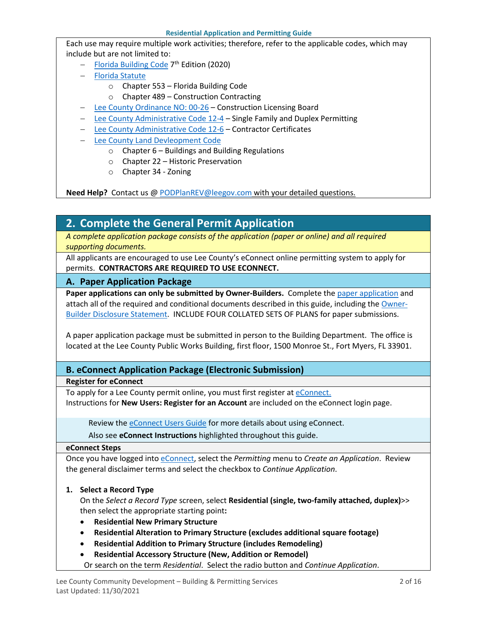Each use may require multiple work activities; therefore, refer to the applicable codes, which may include but are not limited to:

- − [Florida Building Code](https://codes.iccsafe.org/codes/florida) 7<sup>th</sup> Edition (2020)
- − [Florida Statute](http://www.leg.state.fl.us/Statutes/index.cfm?Mode=View%20Statutes&Submenu=1&Tab=statutes)
	- o Chapter 553 Florida Building Code
	- o Chapter 489 Construction Contracting
- − [Lee County Ordinance NO: 00-26](https://www.leegov.com/bocc/Ordinances/00-26.pdf) Construction Licensing Board
- − [Lee County Administrative Code 12-4](https://www.leegov.com/bocc/Administrative%20Codes/AC-12-4.pdf) Single Family and Duplex Permitting
- − [Lee County Administrative Code 12-6](https://www.leegov.com/bocc/Administrative%20Codes/AC-12-6.pdf) Contractor Certificates
- − [Lee County Land Devleopment Code](https://library.municode.com/fl/lee_county/codes/land_development_code?nodeId=LADECOLECOFL)
	- $\circ$  Chapter 6 Buildings and Building Regulations
	- o Chapter 22 Historic Preservation
	- o Chapter 34 Zoning

**Need Help?** Contact us @ [PODPlanREV@leegov.com](mailto:PODPlanREV@leegov.com) with your detailed questions.

## <span id="page-1-0"></span>**2. Complete the General Permit Application**

*A complete application package consists of the application (paper or online) and all required supporting documents.*

All applicants are encouraged to use Lee County's eConnect online permitting system to apply for permits. **CONTRACTORS ARE REQUIRED TO USE ECONNECT.**

#### **A. Paper Application Package**

**Paper applications can only be submitted by Owner-Builders.** Complete the [paper application](https://www.leegov.com/dcd/PermittingDocs/ResBuildingPermitApp.pdf) and attach all of the required and conditional documents described in this guide, including the [Owner-](https://www.leegov.com/dcd/PermittingDocs/OwnerBldrDisclosure.pdf)[Builder Disclosure Statement.](https://www.leegov.com/dcd/PermittingDocs/OwnerBldrDisclosure.pdf) INCLUDE FOUR COLLATED SETS OF PLANS for paper submissions.

A paper application package must be submitted in person to the Building Department. The office is located at the Lee County Public Works Building, first floor, 1500 Monroe St., Fort Myers, FL 33901.

#### **B. eConnect Application Package (Electronic Submission)**

**Register for eConnect**

To apply for a Lee County permit online, you must first register at [eConnect.](https://accelaaca.leegov.com/aca/) Instructions for **New Users: Register for an Account** are included on the eConnect login page.

Review th[e eConnect Users Guide](https://www.leegov.com/dcd/Documents/eServ/eConnect/eServicesGuide.pdf) for more details about using eConnect.

Also see **eConnect Instructions** highlighted throughout this guide.

#### **eConnect Steps**

Once you have logged into [eConnect,](https://accelaaca.leegov.com/aca/) select the *Permitting* menu to *Create an Application*. Review the general disclaimer terms and select the checkbox to *Continue Application*.

**1. Select a Record Type**

On the *Select a Record Type* screen, select **Residential (single, two-family attached, duplex)**>> then select the appropriate starting point**:** 

- **Residential New Primary Structure**
- **Residential Alteration to Primary Structure (excludes additional square footage)**
- **Residential Addition to Primary Structure (includes Remodeling)**
- **Residential Accessory Structure (New, Addition or Remodel)**
- Or search on the term *Residential*. Select the radio button and *Continue Application*.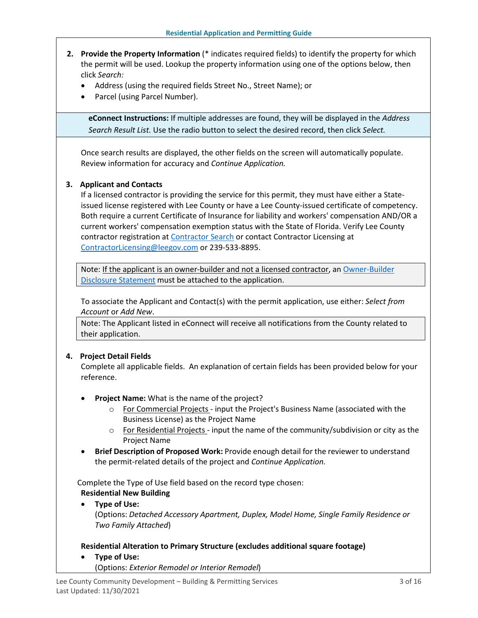- **2. Provide the Property Information** (\* indicates required fields) to identify the property for which the permit will be used. Lookup the property information using one of the options below, then click *Search:*
	- Address (using the required fields Street No., Street Name); or
	- Parcel (using Parcel Number).

**eConnect Instructions:** If multiple addresses are found, they will be displayed in the *Address Search Result List.* Use the radio button to select the desired record, then click *Select.*

Once search results are displayed, the other fields on the screen will automatically populate. Review information for accuracy and *Continue Application.*

#### **3. Applicant and Contacts**

If a licensed contractor is providing the service for this permit, they must have either a Stateissued license registered with Lee County or have a Lee County-issued certificate of competency. Both require a current Certificate of Insurance for liability and workers' compensation AND/OR a current workers' compensation exemption status with the State of Florida. Verify Lee County contractor registration at [Contractor Search](https://www.leegov.com/dcd/ContLic/ActCont) or contact Contractor Licensing at [ContractorLicensing@leegov.com](mailto:ContractorLicensing@leegov.com) or 239-533-8895.

Note: If the applicant is an owner-builder and not a licensed contractor, an Owner-Builder [Disclosure Statement](https://www.leegov.com/dcd/PermittingDocs/OwnerBldrDisclosure.pdf) must be attached to the application.

To associate the Applicant and Contact(s) with the permit application, use either: *Select from Account* or *Add New*.

Note: The Applicant listed in eConnect will receive all notifications from the County related to their application.

#### **4. Project Detail Fields**

Complete all applicable fields. An explanation of certain fields has been provided below for your reference.

- **Project Name:** What is the name of the project?
	- o For Commercial Projects input the Project's Business Name (associated with the Business License) as the Project Name
	- $\circ$  For Residential Projects input the name of the community/subdivision or city as the Project Name
- **Brief Description of Proposed Work:** Provide enough detail for the reviewer to understand the permit-related details of the project and *Continue Application.*

Complete the Type of Use field based on the record type chosen: **Residential New Building**

• **Type of Use:** 

(Options: *Detached Accessory Apartment, Duplex, Model Home, Single Family Residence or Two Family Attached*)

**Residential Alteration to Primary Structure (excludes additional square footage)**

- **Type of Use:** 
	- (Options: *Exterior Remodel or Interior Remodel*)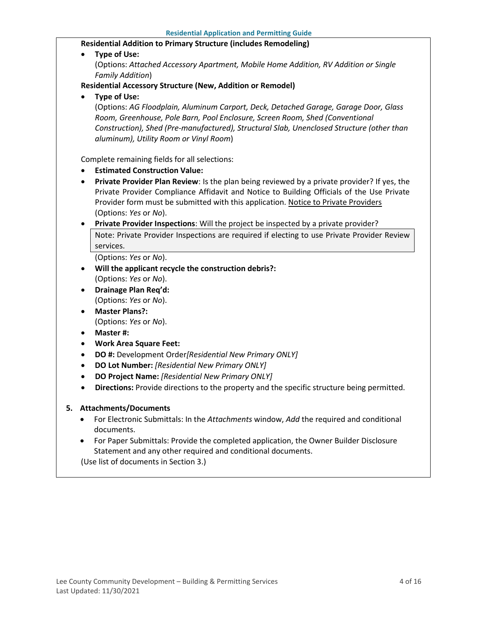#### **Residential Addition to Primary Structure (includes Remodeling)**

• **Type of Use:** 

(Options: *Attached Accessory Apartment, Mobile Home Addition, RV Addition or Single Family Addition*)

#### **Residential Accessory Structure (New, Addition or Remodel)**

• **Type of Use:** 

(Options: *AG Floodplain, Aluminum Carport, Deck, Detached Garage, Garage Door, Glass Room, Greenhouse, Pole Barn, Pool Enclosure, Screen Room, Shed (Conventional Construction), Shed (Pre-manufactured), Structural Slab, Unenclosed Structure (other than aluminum), Utility Room or Vinyl Room*)

Complete remaining fields for all selections:

- **Estimated Construction Value:**
- **Private Provider Plan Review**: Is the plan being reviewed by a private provider? If yes, the Private Provider Compliance Affidavit and Notice to Building Officials of the Use Private Provider form must be submitted with this application. [Notice to Private Providers](https://www.floridabuilding.org/fbc/committees/Private_Providers/Private_Providers.htm) (Options: *Yes* or *No*).
- **Private Provider Inspections**: Will the project be inspected by a private provider?

Note: Private Provider Inspections are required if electing to use Private Provider Review services.

(Options: *Yes* or *No*).

- **Will the applicant recycle the construction debris?:** (Options: *Yes* or *No*).
- **Drainage Plan Req'd:** (Options: *Yes* or *No*).
- **Master Plans?:** (Options: *Yes* or *No*).
- **Master #:**
- **Work Area Square Feet:**
- **DO #:** Development Order*[Residential New Primary ONLY]*
- **DO Lot Number:** *[Residential New Primary ONLY]*
- **DO Project Name:** *[Residential New Primary ONLY]*
- **Directions:** Provide directions to the property and the specific structure being permitted.

#### **5. Attachments/Documents**

- For Electronic Submittals: In the *Attachments* window, *Add* the required and conditional documents.
- For Paper Submittals: Provide the completed application, the Owner Builder Disclosure Statement and any other required and conditional documents.

(Use list of documents in Section 3.)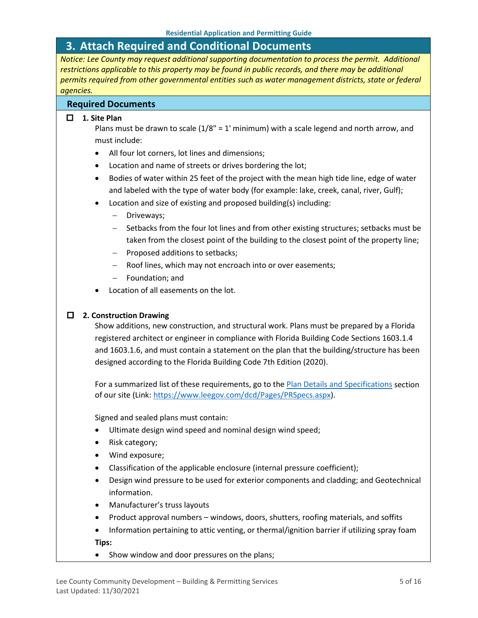## <span id="page-4-0"></span>**3. Attach Required and Conditional Documents**

*Notice: Lee County may request additional supporting documentation to process the permit. Additional restrictions applicable to this property may be found in public records, and there may be additional permits required from other governmental entities such as water management districts, state or federal agencies.*

#### **Required Documents**

#### **1. Site Plan**

Plans must be drawn to scale  $(1/8" = 1'$  minimum) with a scale legend and north arrow, and must include:

- All four lot corners, lot lines and dimensions;
- Location and name of streets or drives bordering the lot;
- Bodies of water within 25 feet of the project with the mean high tide line, edge of water and labeled with the type of water body (for example: lake, creek, canal, river, Gulf);
- Location and size of existing and proposed building(s) including:
	- − Driveways;
	- − Setbacks from the four lot lines and from other existing structures; setbacks must be taken from the closest point of the building to the closest point of the property line;
	- − Proposed additions to setbacks;
	- Roof lines, which may not encroach into or over easements;
	- − Foundation; and
- Location of all easements on the lot.

#### **2. Construction Drawing**

Show additions, new construction, and structural work. Plans must be prepared by a Florida registered architect or engineer in compliance with Florida Building Code Sections 1603.1.4 and 1603.1.6, and must contain a statement on the plan that the building/structure has been designed according to the Florida Building Code 7th Edition (2020).

For a summarized list of these requirements, go to the [Plan Details and Specifications](https://www.leegov.com/dcd/Pages/PRSpecs.aspx) section of our site (Link[: https://www.leegov.com/dcd/Pages/PRSpecs.aspx\)](https://www.leegov.com/dcd/Pages/PRSpecs.aspx).

Signed and sealed plans must contain:

- Ultimate design wind speed and nominal design wind speed;
- Risk category;
- Wind exposure;
- Classification of the applicable enclosure (internal pressure coefficient);
- Design wind pressure to be used for exterior components and cladding; and Geotechnical information.
- Manufacturer's truss layouts
- Product approval numbers windows, doors, shutters, roofing materials, and soffits
- Information pertaining to attic venting, or thermal/ignition barrier if utilizing spray foam **Tips:**
- Show window and door pressures on the plans;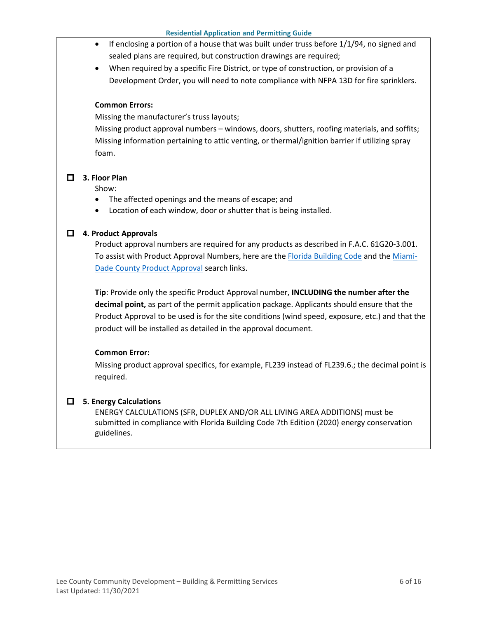- $\bullet$  If enclosing a portion of a house that was built under truss before 1/1/94, no signed and sealed plans are required, but construction drawings are required;
- When required by a specific Fire District, or type of construction, or provision of a Development Order, you will need to note compliance with NFPA 13D for fire sprinklers.

#### **Common Errors:**

Missing the manufacturer's truss layouts;

Missing product approval numbers – windows, doors, shutters, roofing materials, and soffits; Missing information pertaining to attic venting, or thermal/ignition barrier if utilizing spray foam.

#### **3. Floor Plan**

Show:

- The affected openings and the means of escape; and
- Location of each window, door or shutter that is being installed.

#### **4. Product Approvals**

Product approval numbers are required for any products as described in F.A.C. 61G20-3.001. To assist with Product Approval Numbers, here are the [Florida Building Code](https://floridabuilding.org/pr/pr_default.aspx) and the [Miami-](http://www.miamidade.gov/building/pc-search_app.asp)[Dade County Product Approval](http://www.miamidade.gov/building/pc-search_app.asp) search links.

**Tip**: Provide only the specific Product Approval number, **INCLUDING the number after the decimal point,** as part of the permit application package. Applicants should ensure that the Product Approval to be used is for the site conditions (wind speed, exposure, etc.) and that the product will be installed as detailed in the approval document.

#### **Common Error:**

Missing product approval specifics, for example, FL239 instead of FL239.6.; the decimal point is required.

#### **5. Energy Calculations**

ENERGY CALCULATIONS (SFR, DUPLEX AND/OR ALL LIVING AREA ADDITIONS) must be submitted in compliance with Florida Building Code 7th Edition (2020) energy conservation guidelines.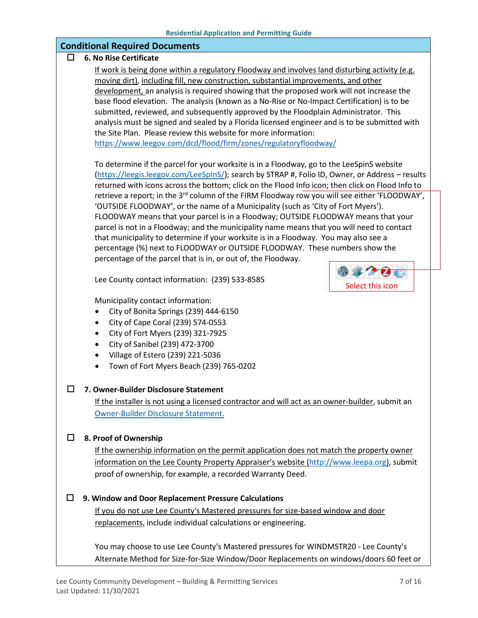#### **Conditional Required Documents**

#### **6. No Rise Certificate**

If work is being done within a regulatory Floodway and involves land disturbing activity (e.g. moving dirt), including fill, new construction, substantial improvements, and other development, an analysis is required showing that the proposed work will not increase the base flood elevation. The analysis (known as a No-Rise or No-Impact Certification) is to be submitted, reviewed, and subsequently approved by the Floodplain Administrator. This analysis must be signed and sealed by a Florida licensed engineer and is to be submitted with the Site Plan. Please review this website for more information: <https://www.leegov.com/dcd/flood/firm/zones/regulatoryfloodway/>

To determine if the parcel for your worksite is in a Floodway, go to the LeeSpinS website [\(https://leegis.leegov.com/LeeSpInS/\)](https://leegis.leegov.com/LeeSpInS/); search by STRAP #, Folio ID, Owner, or Address – results returned with icons across the bottom; click on the Flood Info icon; then click on Flood Info to retrieve a report; in the 3<sup>rd</sup> column of the FIRM Floodway row you will see either 'FLOODWAY', 'OUTSIDE FLOODWAY', or the name of a Municipality (such as 'City of Fort Myers'). FLOODWAY means that your parcel is in a Floodway; OUTSIDE FLOODWAY means that your parcel is not in a Floodway; and the municipality name means that you will need to contact that municipality to determine if your worksite is in a Floodway. You may also see a percentage (%) next to FLOODWAY or OUTSIDE FLOODWAY. These numbers show the percentage of the parcel that is in, or out of, the Floodway.

Lee County contact information: (239) 533-8585



Municipality contact information:

- City of Bonita Springs (239) 444-6150
- City of Cape Coral (239) 574-0553
- City of Fort Myers (239) 321-7925
- City of Sanibel (239) 472-3700
- Village of Estero (239) 221-5036
- Town of Fort Myers Beach (239) 765-0202

#### **7. Owner-Builder Disclosure Statement**

If the installer is not using a licensed contractor and will act as an owner-builder, submit an [Owner-Builder Disclosure Statement.](https://www.leegov.com/dcd/PermittingDocs/OwnerBldrDisclosure.pdf)

#### **8. Proof of Ownership**

If the ownership information on the permit application does not match the property owner information on the Lee County Property Appraiser's website [\(http://www.leepa.org\)](http://www.leepa.org/), submit proof of ownership, for example, a recorded Warranty Deed.

#### **9. Window and Door Replacement Pressure Calculations**

If you do not use Lee County's Mastered pressures for size-based window and door replacements, include individual calculations or engineering.

You may choose to use Lee County's Mastered pressures for WINDMSTR20 - Lee County's Alternate Method for Size-for-Size Window/Door Replacements on windows/doors 60 feet or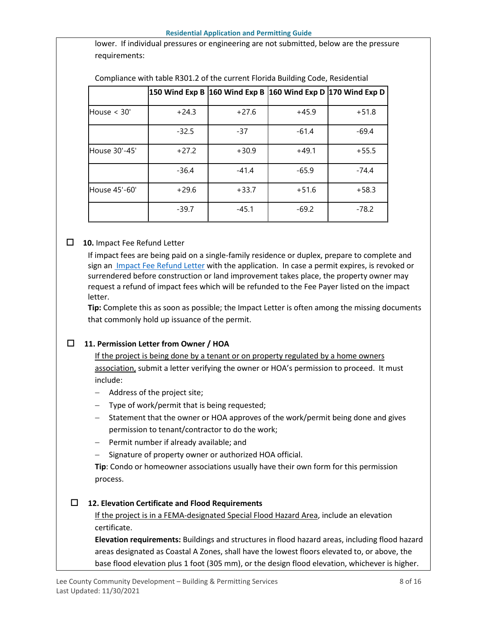lower. If individual pressures or engineering are not submitted, below are the pressure requirements:

|               |         |         | 150 Wind Exp B 160 Wind Exp B 160 Wind Exp D 170 Wind Exp D |         |
|---------------|---------|---------|-------------------------------------------------------------|---------|
| House $<$ 30' | $+24.3$ | $+27.6$ | $+45.9$                                                     | $+51.8$ |
|               | $-32.5$ | $-37$   | $-61.4$                                                     | $-69.4$ |
| House 30'-45' | $+27.2$ | $+30.9$ | $+49.1$                                                     | $+55.5$ |
|               | $-36.4$ | $-41.4$ | $-65.9$                                                     | $-74.4$ |
| House 45'-60' | $+29.6$ | $+33.7$ | $+51.6$                                                     | $+58.3$ |
|               | $-39.7$ | $-45.1$ | $-69.2$                                                     | $-78.2$ |

Compliance with table R301.2 of the current Florida Building Code, Residential

### **10.** Impact Fee Refund Letter

If impact fees are being paid on a single-family residence or duplex, prepare to complete and sign a[n Impact Fee Refund Letter](https://www.leegov.com/dcd/PermittingDocs/ImpactLetter.pdf) with the application. In case a permit expires, is revoked or surrendered before construction or land improvement takes place, the property owner may request a refund of impact fees which will be refunded to the Fee Payer listed on the impact letter.

**Tip:** Complete this as soon as possible; the Impact Letter is often among the missing documents that commonly hold up issuance of the permit.

## **11. Permission Letter from Owner / HOA**

If the project is being done by a tenant or on property regulated by a home owners association, submit a letter verifying the owner or HOA's permission to proceed. It must include:

- − Address of the project site;
- − Type of work/permit that is being requested;
- − Statement that the owner or HOA approves of the work/permit being done and gives permission to tenant/contractor to do the work;
- − Permit number if already available; and
- Signature of property owner or authorized HOA official.

**Tip**: Condo or homeowner associations usually have their own form for this permission process.

## **12. Elevation Certificate and Flood Requirements**

If the project is in a FEMA-designated Special Flood Hazard Area, include an elevation certificate.

**Elevation requirements:** Buildings and structures in flood hazard areas, including flood hazard areas designated as Coastal A Zones, shall have the lowest floors elevated to, or above, the base flood elevation plus 1 foot (305 mm), or the design flood elevation, whichever is higher.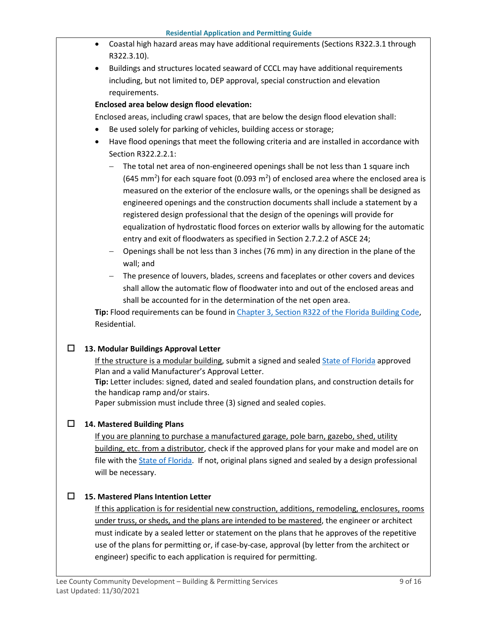- Coastal high hazard areas may have additional requirements (Sections R322.3.1 through R322.3.10).
- Buildings and structures located seaward of CCCL may have additional requirements including, but not limited to, DEP approval, special construction and elevation requirements.

### **Enclosed area below design flood elevation:**

Enclosed areas, including crawl spaces, that are below the design flood elevation shall:

- Be used solely for parking of vehicles, building access or storage;
- Have flood openings that meet the following criteria and are installed in accordance with Section R322.2.2.1:
	- − The total net area of non-engineered openings shall be not less than 1 square inch (645 mm<sup>2</sup>) for each square foot (0.093 m<sup>2</sup>) of enclosed area where the enclosed area is measured on the exterior of the enclosure walls, or the openings shall be designed as engineered openings and the construction documents shall include a statement by a registered design professional that the design of the openings will provide for equalization of hydrostatic flood forces on exterior walls by allowing for the automatic entry and exit of floodwaters as specified in Section 2.7.2.2 of ASCE 24;
	- − Openings shall be not less than 3 inches (76 mm) in any direction in the plane of the wall; and
	- − The presence of louvers, blades, screens and faceplates or other covers and devices shall allow the automatic flow of floodwater into and out of the enclosed areas and shall be accounted for in the determination of the net open area.

**Tip:** Flood requirements can be found i[n Chapter 3, Section R322 of the Florida Building Code,](https://codes.iccsafe.org/content/FLRC2020P1/chapter-3-building-planning#FLRC2020P1_Pt03_Ch03_SecR322) Residential.

#### **13. Modular Buildings Approval Letter**

If the structure is a modular building, submit a signed and sealed [State of Florida](https://www.floridabuilding.org/mb/mb_plan_srch.aspx) approved Plan and a valid Manufacturer's Approval Letter.

**Tip:** Letter includes: signed, dated and sealed foundation plans, and construction details for the handicap ramp and/or stairs.

Paper submission must include three (3) signed and sealed copies.

## **14. Mastered Building Plans**

If you are planning to purchase a manufactured garage, pole barn, gazebo, shed, utility building, etc. from a distributor, check if the approved plans for your make and model are on file with the [State of Florida.](https://www.floridabuilding.org/mb/mb_plan_srch.aspx) If not, original plans signed and sealed by a design professional will be necessary.

## **15. Mastered Plans Intention Letter**

If this application is for residential new construction, additions, remodeling, enclosures, rooms under truss, or sheds, and the plans are intended to be mastered, the engineer or architect must indicate by a sealed letter or statement on the plans that he approves of the repetitive use of the plans for permitting or, if case-by-case, approval (by letter from the architect or engineer) specific to each application is required for permitting.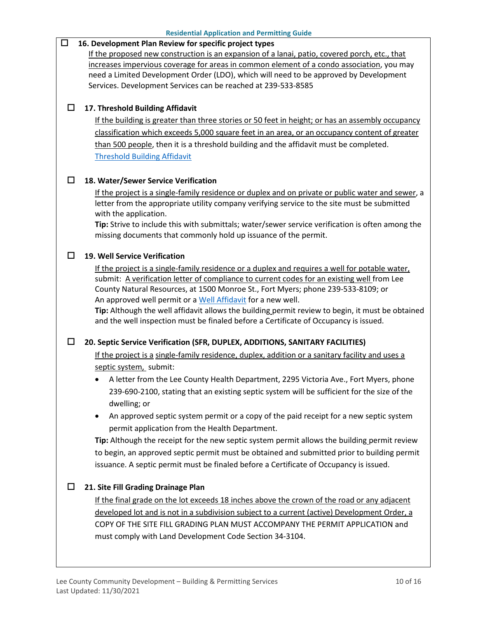## **16. Development Plan Review for specific project types**

If the proposed new construction is an expansion of a lanai, patio, covered porch, etc., that increases impervious coverage for areas in common element of a condo association, you may need a Limited Development Order (LDO), which will need to be approved by Development Services. Development Services can be reached at 239-533-8585

#### **17. Threshold Building Affidavit**

If the building is greater than three stories or 50 feet in height; or has an assembly occupancy classification which exceeds 5,000 square feet in an area, or an occupancy content of greater than 500 people, then it is a threshold building and the affidavit must be completed. [Threshold Building Affidavit](https://www.leegov.com/dcd/PermittingDocs/Threshold.pdf)

#### **18. Water/Sewer Service Verification**

If the project is a single-family residence or duplex and on private or public water and sewer, a letter from the appropriate utility company verifying service to the site must be submitted with the application.

**Tip:** Strive to include this with submittals; water/sewer service verification is often among the missing documents that commonly hold up issuance of the permit.

#### **19. Well Service Verification**

If the project is a single-family residence or a duplex and requires a well for potable water, submit: A verification letter of compliance to current codes for an existing well from Lee County Natural Resources, at 1500 Monroe St., Fort Myers; phone 239-533-8109; or An approved well permit or a [Well Affidavit](https://www.leegov.com/dcd/PermittingDocs/WellAffidavit.pdf) for a new well.

**Tip:** Although the well affidavit allows the building permit review to begin, it must be obtained and the well inspection must be finaled before a Certificate of Occupancy is issued.

#### **20. Septic Service Verification (SFR, DUPLEX, ADDITIONS, SANITARY FACILITIES)**

If the project is a single-family residence, duplex, addition or a sanitary facility and uses a septic system, submit:

- A letter from the Lee County Health Department, 2295 Victoria Ave., Fort Myers, phone 239-690-2100, stating that an existing septic system will be sufficient for the size of the dwelling; or
- An approved septic system permit or a copy of the paid receipt for a new septic system permit application from the Health Department.

**Tip:** Although the receipt for the new septic system permit allows the building permit review to begin, an approved septic permit must be obtained and submitted prior to building permit issuance. A septic permit must be finaled before a Certificate of Occupancy is issued.

#### **21. Site Fill Grading Drainage Plan**

If the final grade on the lot exceeds 18 inches above the crown of the road or any adjacent developed lot and is not in a subdivision subject to a current (active) Development Order, a COPY OF THE SITE FILL GRADING PLAN MUST ACCOMPANY THE PERMIT APPLICATION and must comply with Land Development Code Section 34-3104.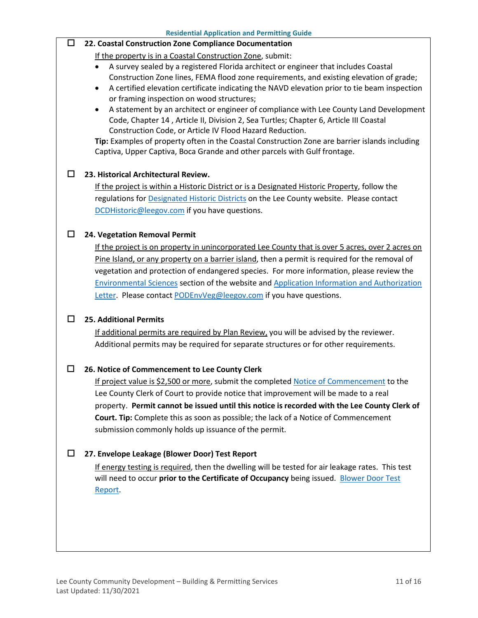#### **22. Coastal Construction Zone Compliance Documentation**

If the property is in a Coastal Construction Zone, submit:

- A survey sealed by a registered Florida architect or engineer that includes Coastal Construction Zone lines, FEMA flood zone requirements, and existing elevation of grade;
- A certified elevation certificate indicating the NAVD elevation prior to tie beam inspection or framing inspection on wood structures;
- A statement by an architect or engineer of compliance with Lee County Land Development Code, Chapter 14 , Article II, Division 2, Sea Turtles; Chapter 6, Article III Coastal Construction Code, or Article IV Flood Hazard Reduction.

**Tip:** Examples of property often in the Coastal Construction Zone are barrier islands including Captiva, Upper Captiva, Boca Grande and other parcels with Gulf frontage.

#### **23. Historical Architectural Review.**

If the project is within a Historic District or is a Designated Historic Property, follow the regulations for [Designated Historic Districts](https://www.leegov.com/dcd/planning/hp/histdistricts) on the Lee County website. Please contact [DCDHistoric@leegov.com](mailto:DCDHistoric@leegov.com) if you have questions.

#### **24. Vegetation Removal Permit**

If the project is on property in unincorporated Lee County that is over 5 acres, over 2 acres on Pine Island, or any property on a barrier island, then a permit is required for the removal of vegetation and protection of endangered species. For more information, please review the [Environmental Sciences](https://www.leegov.com/dcd/es) section of the website and [Application Information and Authorization](https://www.leegov.com/dcd/es/apps)  [Letter.](https://www.leegov.com/dcd/es/apps) Please contac[t PODEnvVeg@leegov.com](mailto:PODEnvVeg@leegov.com) if you have questions.

#### **25. Additional Permits**

If additional permits are required by Plan Review, you will be advised by the reviewer. Additional permits may be required for separate structures or for other requirements.

#### **26. Notice of Commencement to Lee County Clerk**

If project value is \$2,500 or more, submit the completed [Notice of Commencement](https://www.leegov.com/dcd/PermittingDocs/NoticeofCommencement.pdf) to the Lee County Clerk of Court to provide notice that improvement will be made to a real property. **Permit cannot be issued until this notice is recorded with the Lee County Clerk of Court. Tip:** Complete this as soon as possible; the lack of a Notice of Commencement submission commonly holds up issuance of the permit.

#### **27. Envelope Leakage (Blower Door) Test Report**

If energy testing is required, then the dwelling will be tested for air leakage rates. This test will need to occur **prior to the Certificate of Occupancy** being issued. [Blower Door Test](https://www.leegov.com/dcd/PermittingDocs/BlowerDoorTestReport.pdf)  [Report.](https://www.leegov.com/dcd/PermittingDocs/BlowerDoorTestReport.pdf)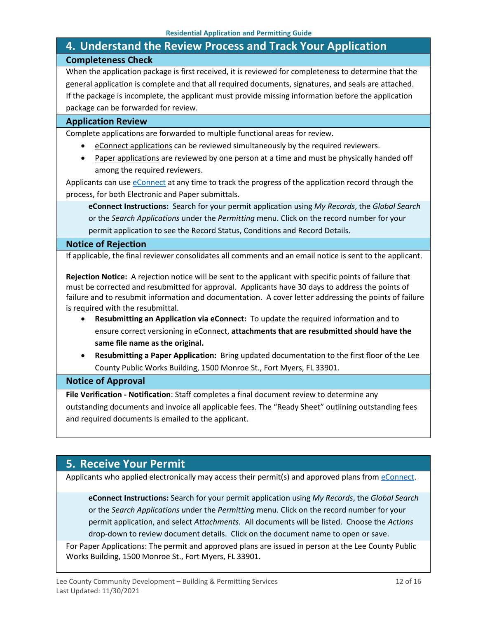## <span id="page-11-0"></span>**4. Understand the Review Process and Track Your Application Completeness Check**

When the application package is first received, it is reviewed for completeness to determine that the general application is complete and that all required documents, signatures, and seals are attached. If the package is incomplete, the applicant must provide missing information before the application package can be forwarded for review.

#### **Application Review**

Complete applications are forwarded to multiple functional areas for review.

- eConnect applications can be reviewed simultaneously by the required reviewers.
- Paper applications are reviewed by one person at a time and must be physically handed off among the required reviewers.

Applicants can use [eConnect](https://accelaaca.leegov.com/aca/) at any time to track the progress of the application record through the process, for both Electronic and Paper submittals.

**eConnect Instructions:** Search for your permit application using *My Records*, the *Global Search* or the *Search Applications* under the *Permitting* menu. Click on the record number for your permit application to see the Record Status, Conditions and Record Details.

#### **Notice of Rejection**

If applicable, the final reviewer consolidates all comments and an email notice is sent to the applicant.

**Rejection Notice:** A rejection notice will be sent to the applicant with specific points of failure that must be corrected and resubmitted for approval. Applicants have 30 days to address the points of failure and to resubmit information and documentation. A cover letter addressing the points of failure is required with the resubmittal.

- **Resubmitting an Application via eConnect:** To update the required information and to ensure correct versioning in eConnect, **attachments that are resubmitted should have the same file name as the original.**
- **Resubmitting a Paper Application:** Bring updated documentation to the first floor of the Lee County Public Works Building, 1500 Monroe St., Fort Myers, FL 33901.

#### **Notice of Approval**

**File Verification - Notification**: Staff completes a final document review to determine any outstanding documents and invoice all applicable fees. The "Ready Sheet" outlining outstanding fees and required documents is emailed to the applicant.

## <span id="page-11-1"></span>**5. Receive Your Permit**

Applicants who applied electronically may access their permit(s) and approved plans from [eConnect.](https://accelaaca.leegov.com/aca/)

**eConnect Instructions:** Search for your permit application using *My Records*, the *Global Search* or the *Search Applications u*nder the *Permitting* menu. Click on the record number for your permit application, and select *Attachments.* All documents will be listed. Choose the *Actions*  drop-down to review document details. Click on the document name to open or save.

For Paper Applications: The permit and approved plans are issued in person at the Lee County Public Works Building, 1500 Monroe St., Fort Myers, FL 33901.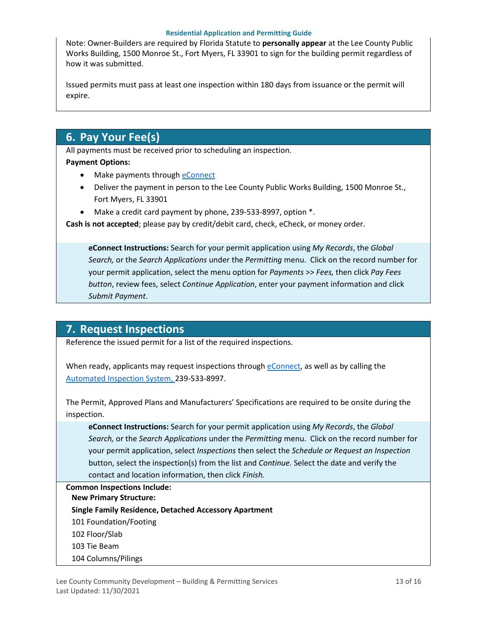#### **Residential Application and Permitting Guide**

Note: Owner-Builders are required by Florida Statute to **personally appear** at the Lee County Public Works Building, 1500 Monroe St., Fort Myers, FL 33901 to sign for the building permit regardless of how it was submitted.

Issued permits must pass at least one inspection within 180 days from issuance or the permit will expire.

## <span id="page-12-0"></span>**6. Pay Your Fee(s)**

All payments must be received prior to scheduling an inspection. **Payment Options:**

- Make payments through **eConnect**
- Deliver the payment in person to the Lee County Public Works Building, 1500 Monroe St., Fort Myers, FL 33901
- Make a credit card payment by phone, 239-533-8997, option \*.

**Cash is not accepted**; please pay by credit/debit card, check, eCheck, or money order.

**eConnect Instructions:** Search for your permit application using *My Records*, the *Global Search,* or the *Search Applications* under the *Permitting* menu. Click on the record number for your permit application, select the menu option for *Payments* >> *Fees,* then click *Pay Fees button*, review fees, select *Continue Application*, enter your payment information and click *Submit Payment*.

## <span id="page-12-1"></span>**7. Request Inspections**

Reference the issued permit for a list of the required inspections.

When ready, applicants may request inspections through [eConnect,](https://accelaaca.leegov.com/aca/) as well as by calling the [Automated Inspection System,](https://www.leegov.com/dcd/BldPermitServ/Insp/AutoInsp) 239-533-8997.

The Permit, Approved Plans and Manufacturers' Specifications are required to be onsite during the inspection.

**eConnect Instructions:** Search for your permit application using *My Records*, the *Global Search,* or the *Search Applications* under the *Permitting* menu. Click on the record number for your permit application, select *Inspections* then select the *Schedule or Request an Inspection* button, select the inspection(s) from the list and *Continue.* Select the date and verify the contact and location information, then click *Finish.*

**Common Inspections Include: New Primary Structure: Single Family Residence, Detached Accessory Apartment** 101 Foundation/Footing 102 Floor/Slab 103 Tie Beam 104 Columns/Pilings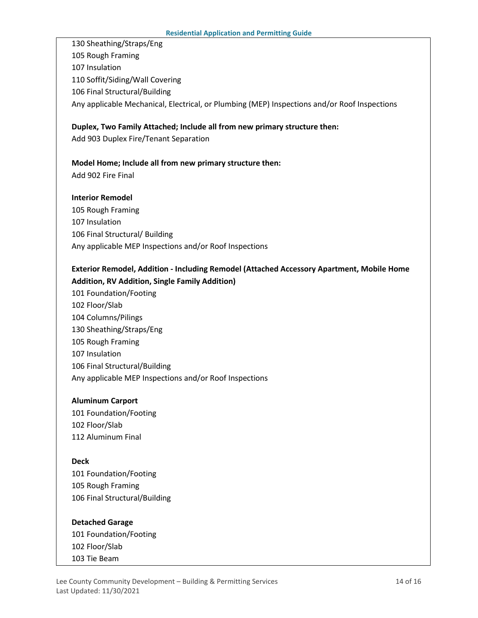130 Sheathing/Straps/Eng 105 Rough Framing 107 Insulation 110 Soffit/Siding/Wall Covering 106 Final Structural/Building Any applicable Mechanical, Electrical, or Plumbing (MEP) Inspections and/or Roof Inspections

## **Duplex, Two Family Attached; Include all from new primary structure then:**

Add 903 Duplex Fire/Tenant Separation

#### **Model Home; Include all from new primary structure then:**

Add 902 Fire Final

#### **Interior Remodel**

105 Rough Framing 107 Insulation 106 Final Structural/ Building Any applicable MEP Inspections and/or Roof Inspections

### **Exterior Remodel, Addition - Including Remodel (Attached Accessory Apartment, Mobile Home Addition, RV Addition, Single Family Addition)**

101 Foundation/Footing 102 Floor/Slab 104 Columns/Pilings 130 Sheathing/Straps/Eng 105 Rough Framing 107 Insulation 106 Final Structural/Building Any applicable MEP Inspections and/or Roof Inspections

#### **Aluminum Carport**

101 Foundation/Footing 102 Floor/Slab 112 Aluminum Final

#### **Deck**

101 Foundation/Footing 105 Rough Framing 106 Final Structural/Building

#### **Detached Garage**

101 Foundation/Footing 102 Floor/Slab 103 Tie Beam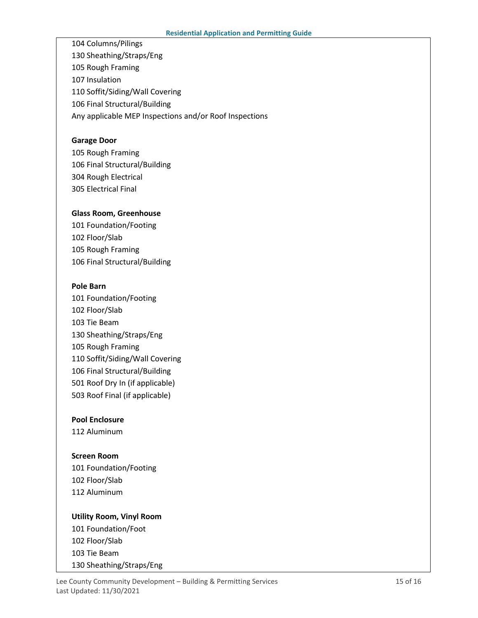104 Columns/Pilings 130 Sheathing/Straps/Eng 105 Rough Framing 107 Insulation 110 Soffit/Siding/Wall Covering 106 Final Structural/Building Any applicable MEP Inspections and/or Roof Inspections

#### **Garage Door**

105 Rough Framing 106 Final Structural/Building 304 Rough Electrical 305 Electrical Final

#### **Glass Room, Greenhouse**

101 Foundation/Footing 102 Floor/Slab 105 Rough Framing 106 Final Structural/Building

#### **Pole Barn**

101 Foundation/Footing 102 Floor/Slab 103 Tie Beam 130 Sheathing/Straps/Eng 105 Rough Framing 110 Soffit/Siding/Wall Covering 106 Final Structural/Building 501 Roof Dry In (if applicable) 503 Roof Final (if applicable)

#### **Pool Enclosure**

112 Aluminum

#### **Screen Room**

101 Foundation/Footing 102 Floor/Slab 112 Aluminum

## **Utility Room, Vinyl Room** 101 Foundation/Foot 102 Floor/Slab 103 Tie Beam 130 Sheathing/Straps/Eng